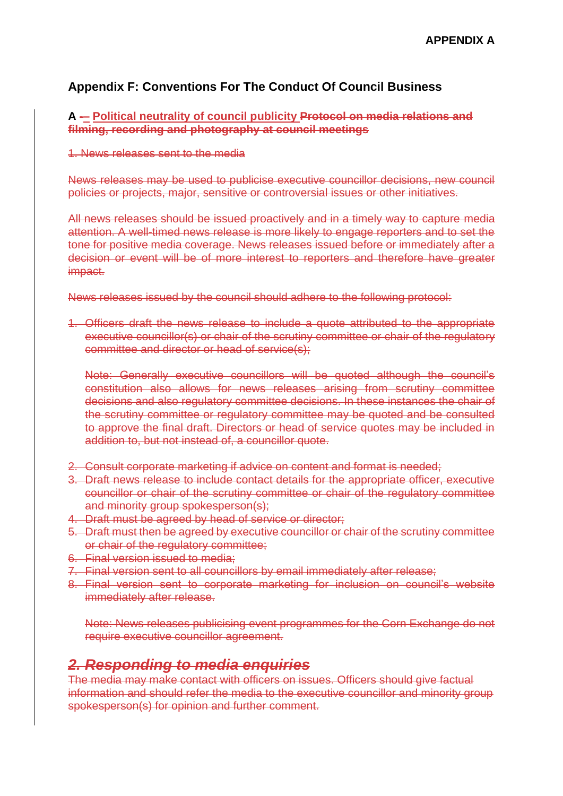## **Appendix F: Conventions For The Conduct Of Council Business**

#### **A -– Political neutrality of council publicity Protocol on media relations and filming, recording and photography at council meetings**

1. News releases sent to the media

News releases may be used to publicise executive councillor decisions, new council policies or projects, major, sensitive or controversial issues or other initiatives.

All news releases should be issued proactively and in a timely way to capture media attention. A well-timed news release is more likely to engage reporters and to set the tone for positive media coverage. News releases issued before or immediately after a decision or event will be of more interest to reporters and therefore have greater impact.

News releases issued by the council should adhere to the following protocol:

1. Officers draft the news release to include a quote attributed to the appropriate executive councillor(s) or chair of the scrutiny committee or chair of the regulatory committee and director or head of service(s);

Note: Generally executive councillors will be quoted although the council's constitution also allows for news releases arising from scrutiny committee decisions and also regulatory committee decisions. In these instances the chair of the scrutiny committee or regulatory committee may be quoted and be consulted to approve the final draft. Directors or head of service quotes may be included in addition to, but not instead of, a councillor quote.

- 2. Consult corporate marketing if advice on content and format is needed;
- 3. Draft news release to include contact details for the appropriate officer, executive councillor or chair of the scrutiny committee or chair of the regulatory committee and minority group spokesperson(s);
- 4. Draft must be agreed by head of service or director;
- 5. Draft must then be agreed by executive councillor or chair of the scrutiny committee or chair of the regulatory committee;
- 6. Final version issued to media;
- 7. Final version sent to all councillors by email immediately after release;
- 8. Final version sent to corporate marketing for inclusion on council's website immediately after release.

Note: News releases publicising event programmes for the Corn Exchange do not require executive councillor agreement.

# *2. Responding to media enquiries*

The media may make contact with officers on issues. Officers should give factual information and should refer the media to the executive councillor and minority group spokesperson(s) for opinion and further comment.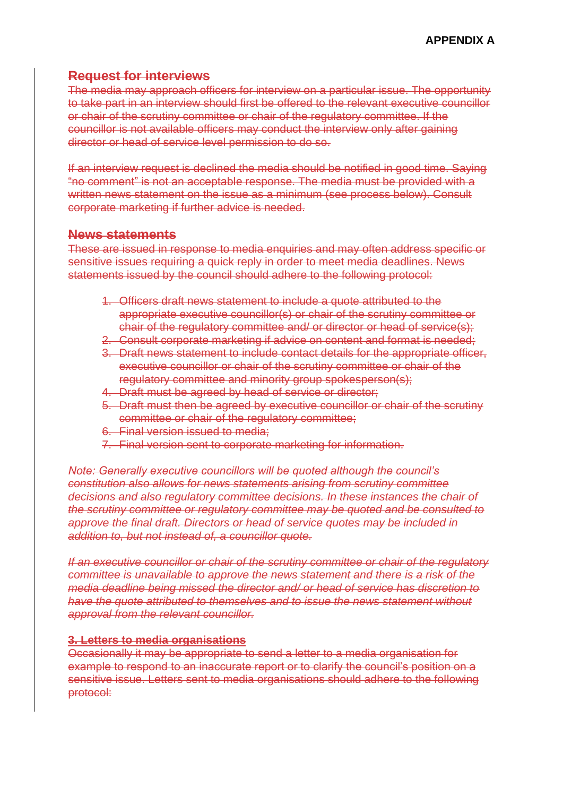## **Request for interviews**

The media may approach officers for interview on a particular issue. The opportunity to take part in an interview should first be offered to the relevant executive councillor or chair of the scrutiny committee or chair of the regulatory committee. If the councillor is not available officers may conduct the interview only after gaining director or head of service level permission to do so.

If an interview request is declined the media should be notified in good time. Saying "no comment" is not an acceptable response. The media must be provided with a written news statement on the issue as a minimum (see process below). Consult corporate marketing if further advice is needed.

### **News statements**

These are issued in response to media enquiries and may often address specific or sensitive issues requiring a quick reply in order to meet media deadlines. News statements issued by the council should adhere to the following protocol:

- 1. Officers draft news statement to include a quote attributed to the appropriate executive councillor(s) or chair of the scrutiny committee or chair of the regulatory committee and/ or director or head of service(s);
- 2. Consult corporate marketing if advice on content and format is needed;
- 3. Draft news statement to include contact details for the appropriate officer, executive councillor or chair of the scrutiny committee or chair of the regulatory committee and minority group spokesperson(s);
- 4. Draft must be agreed by head of service or director;
- 5. Draft must then be agreed by executive councillor or chair of the scrutiny committee or chair of the regulatory committee;
- 6. Final version issued to media;
- 7. Final version sent to corporate marketing for information.

*Note: Generally executive councillors will be quoted although the council's constitution also allows for news statements arising from scrutiny committee decisions and also regulatory committee decisions. In these instances the chair of the scrutiny committee or regulatory committee may be quoted and be consulted to approve the final draft. Directors or head of service quotes may be included in addition to, but not instead of, a councillor quote.*

*If an executive councillor or chair of the scrutiny committee or chair of the regulatory committee is unavailable to approve the news statement and there is a risk of the media deadline being missed the director and/ or head of service has discretion to have the quote attributed to themselves and to issue the news statement without approval from the relevant councillor.*

#### **3. Letters to media organisations**

Occasionally it may be appropriate to send a letter to a media organisation for example to respond to an inaccurate report or to clarify the council's position on a sensitive issue. Letters sent to media organisations should adhere to the following protocol: